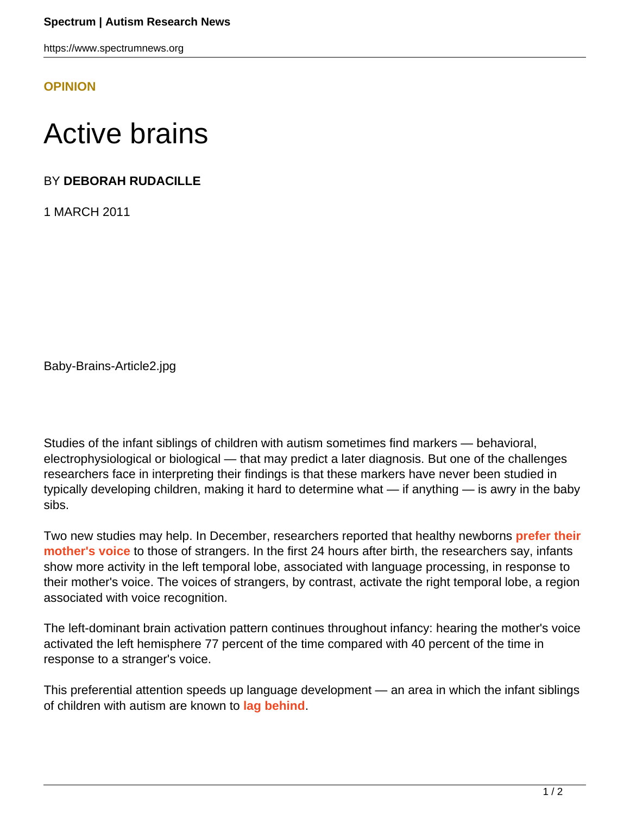https://www.spectrumnews.org

**[OPINION](HTTPS://WWW.SPECTRUMNEWS.ORG/OPINION/)**

## Active brains

## BY **DEBORAH RUDACILLE**

1 MARCH 2011

Baby-Brains-Article2.jpg

Studies of the infant siblings of children with autism sometimes find markers — behavioral, electrophysiological or biological — that may predict a later diagnosis. But one of the challenges researchers face in interpreting their findings is that these markers have never been studied in typically developing children, making it hard to determine what — if anything — is awry in the baby sibs.

Two new studies may help. In December, researchers reported that healthy newborns **[prefer their](http://www.ncbi.nlm.nih.gov/pubmed?term=beauchemin%20%20mother%20and%20stranger) [mother's voice](http://www.ncbi.nlm.nih.gov/pubmed?term=beauchemin%20%20mother%20and%20stranger)** to those of strangers. In the first 24 hours after birth, the researchers say, infants show more activity in the left temporal lobe, associated with language processing, in response to their mother's voice. The voices of strangers, by contrast, activate the right temporal lobe, a region associated with voice recognition.

The left-dominant brain activation pattern continues throughout infancy: hearing the mother's voice activated the left hemisphere 77 percent of the time compared with 40 percent of the time in response to a stranger's voice.

This preferential attention speeds up language development — an area in which the infant siblings of children with autism are known to **[lag behind](https://www.spectrumnews.org/news/2011/language-comes-later-for-siblings-of-children-with-autism)**.